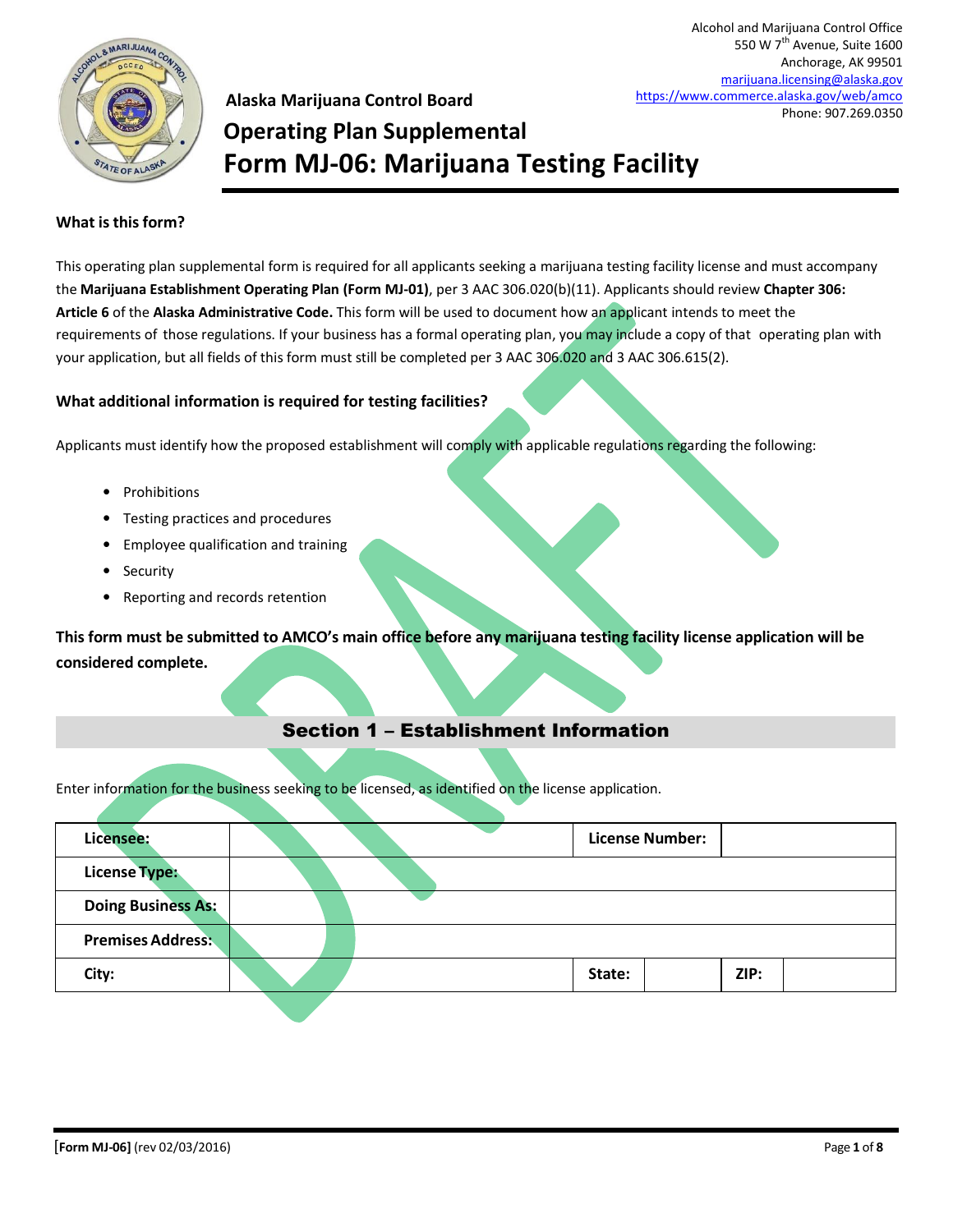

550 W 7<sup>th</sup> Avenue, Suite 1600 Anchorage, AK 99501 [marijuana.licensing@alaska.gov](mailto:marijuana.licensing@alaska.gov) <https://www.commerce.alaska.gov/web/amco> Phone: 907.269.0350

Alcohol and Marijuana Control Office

### **Alaska Marijuana Control Board Operating Plan Supplemental Form MJ-06: Marijuana Testing Facility**

#### **What is this form?**

This operating plan supplemental form is required for all applicants seeking a marijuana testing facility license and must accompany the **Marijuana Establishment Operating Plan (Form MJ-01)**, per 3 AAC 306.020(b)(11). Applicants should review **Chapter 306: Article 6** of the **Alaska Administrative Code.** This form will be used to document how an applicant intends to meet the requirements of those regulations. If your business has a formal operating plan, you may include a copy of that operating plan with your application, but all fields of this form must still be completed per 3 AAC 306.020 and 3 AAC 306.615(2).

#### **What additional information is required for testing facilities?**

Applicants must identify how the proposed establishment will comply with applicable regulations regarding the following:

- Prohibitions
- Testing practices and procedures
- Employee qualification and training
- Security
- Reporting and records retention

**This form must be submitted to AMCO's main office before any marijuana testing facility license application will be considered complete.**

### Section 1 – Establishment Information

Enter information for the business seeking to be licensed, as identified on the license application.

| Licensee:                 |  | <b>License Number:</b> |      |
|---------------------------|--|------------------------|------|
| <b>License Type:</b>      |  |                        |      |
| <b>Doing Business As:</b> |  |                        |      |
| <b>Premises Address:</b>  |  |                        |      |
| City:                     |  | State:                 | ZIP: |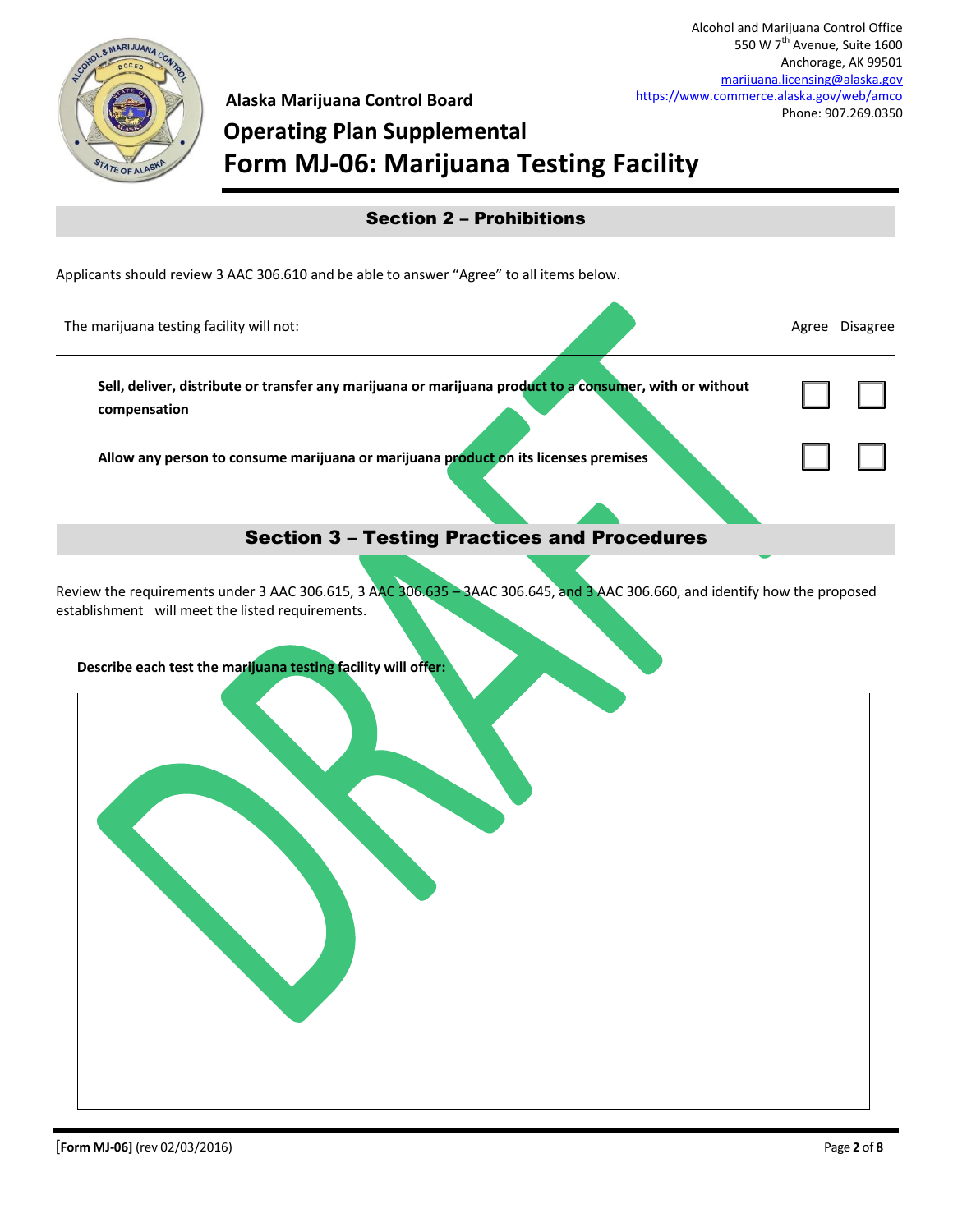

**Alaska Marijuana Control Board**

# **Operating Plan Supplemental Form MJ-06: Marijuana Testing Facility**

| <b>Section 2 - Prohibitions</b>                                                                                         |                |
|-------------------------------------------------------------------------------------------------------------------------|----------------|
| Applicants should review 3 AAC 306.610 and be able to answer "Agree" to all items below.                                |                |
| The marijuana testing facility will not:                                                                                | Agree Disagree |
| Sell, deliver, distribute or transfer any marijuana or marijuana product to a consumer, with or without<br>compensation |                |
| Allow any person to consume marijuana or marijuana product on its licenses premises                                     |                |
| <b>Section 3 - Testing Practices and Procedures</b>                                                                     |                |
|                                                                                                                         |                |

Review the requirements under 3 AAC 306.615, 3 AAC 306.635 – 3AAC 306.645, and 3 AAC 306.660, and identify how the proposed establishment will meet the listed requirements.

**Describe each test the marijuana testing facility will offer:**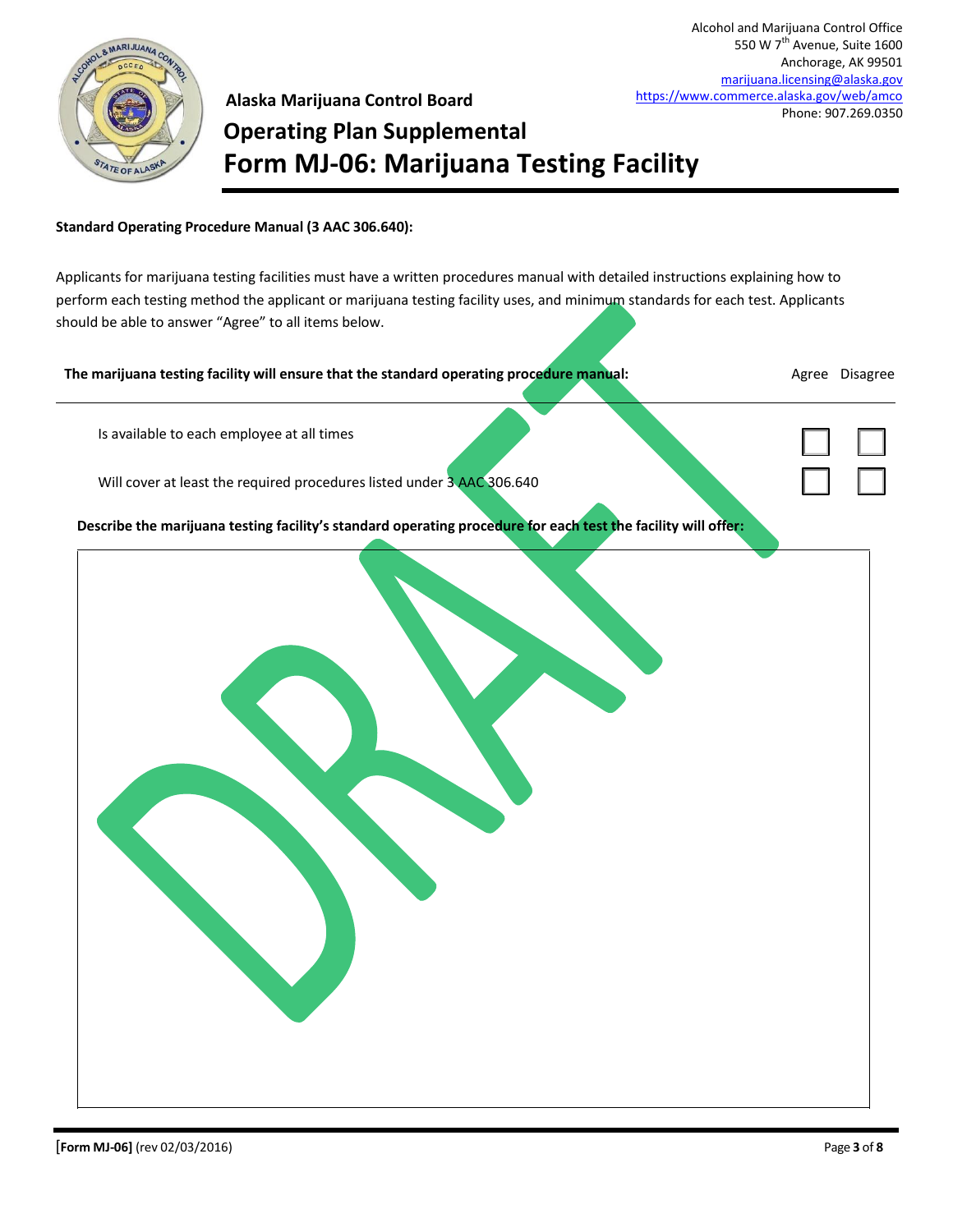

### **Alaska Marijuana Control Board Operating Plan Supplemental Form MJ-06: Marijuana Testing Facility**

#### **Standard Operating Procedure Manual (3 AAC 306.640):**

Applicants for marijuana testing facilities must have a written procedures manual with detailed instructions explaining how to perform each testing method the applicant or marijuana testing facility uses, and minimum standards for each test. Applicants should be able to answer "Agree" to all items below.

| The marijuana testing facility will ensure that the standard operating procedure manual:                      | Agree Disagree |
|---------------------------------------------------------------------------------------------------------------|----------------|
| Is available to each employee at all times                                                                    |                |
| Will cover at least the required procedures listed under 3 AAC 306.640                                        |                |
| Describe the marijuana testing facility's standard operating procedure for each test the facility will offer: |                |
|                                                                                                               |                |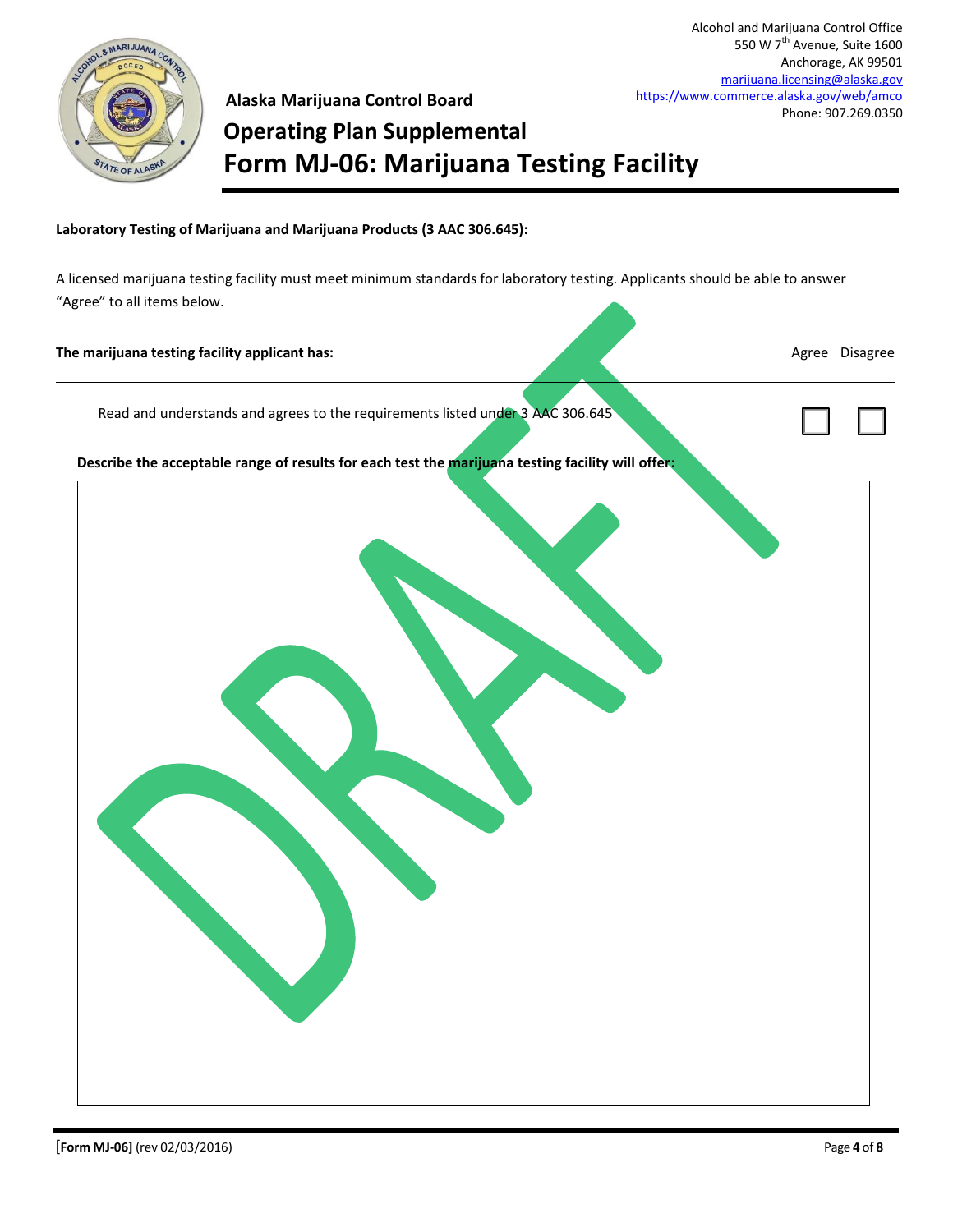

## **Alaska Marijuana Control Board Operating Plan Supplemental Form MJ-06: Marijuana Testing Facility**

**Laboratory Testing of Marijuana and Marijuana Products (3 AAC 306.645):**

A licensed marijuana testing facility must meet minimum standards for laboratory testing. Applicants should be able to answer "Agree" to all items below.

#### **The marijuana testing facility applicant has:** Agree Disagree Disagree Disagree Disagree Disagree Disagree Disagree

 $\Box$ 

Read and understands and agrees to the requirements listed under 3 AAC 306.645

**Describe the acceptable range of results for each test the marijuana testing facility will offer:**

| 7 |  |
|---|--|
|   |  |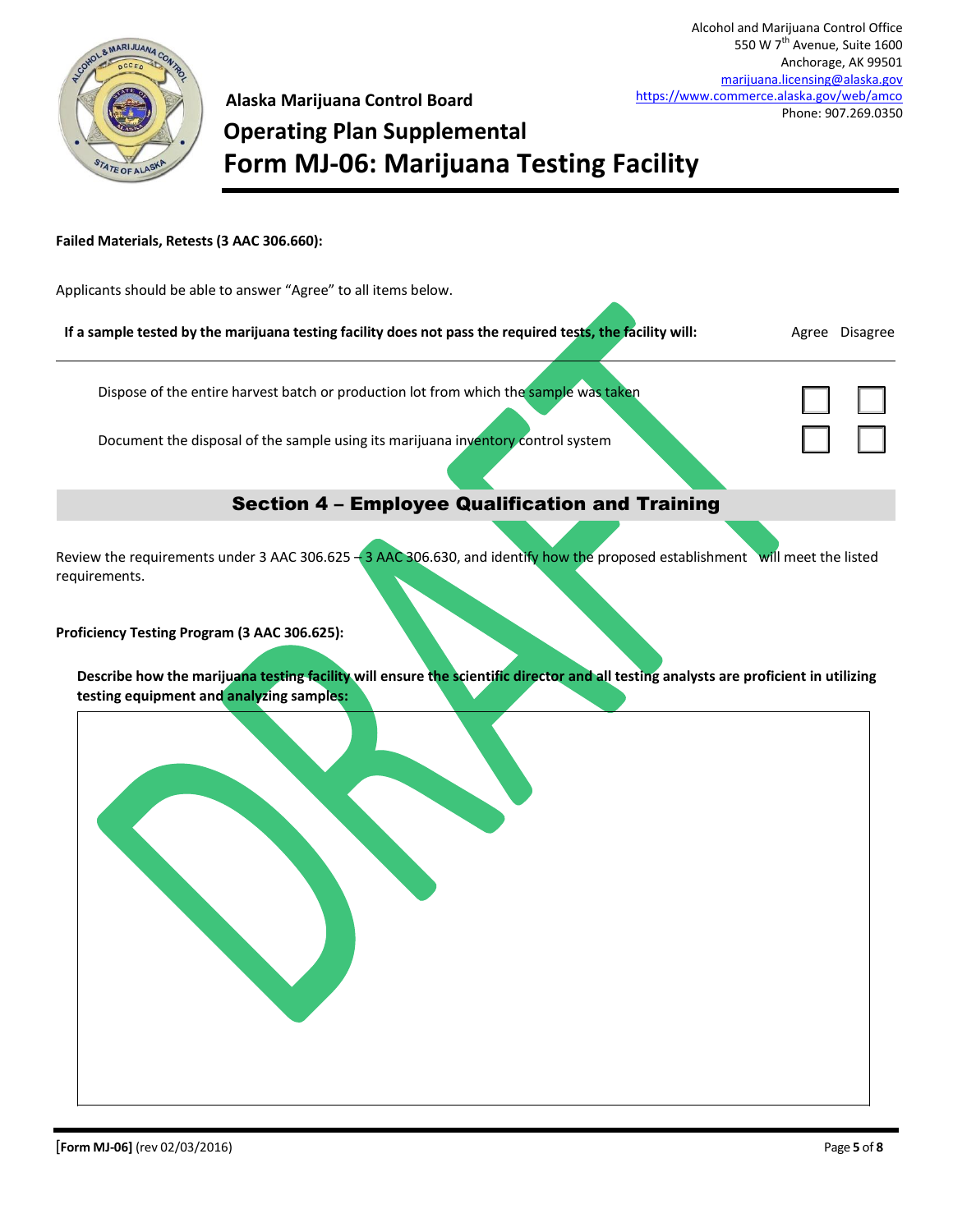

 $\Box$ 

☐ ☐

## **Alaska Marijuana Control Board Operating Plan Supplemental Form MJ-06: Marijuana Testing Facility**

#### **Failed Materials, Retests (3 AAC 306.660):**

Applicants should be able to answer "Agree" to all items below.

| If a sample tested by the marijuana testing facility does not pass the required tests, the facility will: |  |  | Agree Disagree |
|-----------------------------------------------------------------------------------------------------------|--|--|----------------|
|-----------------------------------------------------------------------------------------------------------|--|--|----------------|

Dispose of the entire harvest batch or production lot from which the sample was taken

Document the disposal of the sample using its marijuana inventory control system

### Section 4 – Employee Qualification and Training

Review the requirements under 3 AAC 306.625 <sup>-</sup> 3 AAC 306.630, and identify how the proposed establishment will meet the listed requirements.

**Proficiency Testing Program (3 AAC 306.625):**

|                                                 |  |  | Describe how the marijuana testing facility will ensure the scientific director and all testing analysts are proficient in utilizing |
|-------------------------------------------------|--|--|--------------------------------------------------------------------------------------------------------------------------------------|
| testing equipment and <b>analyzing samples:</b> |  |  |                                                                                                                                      |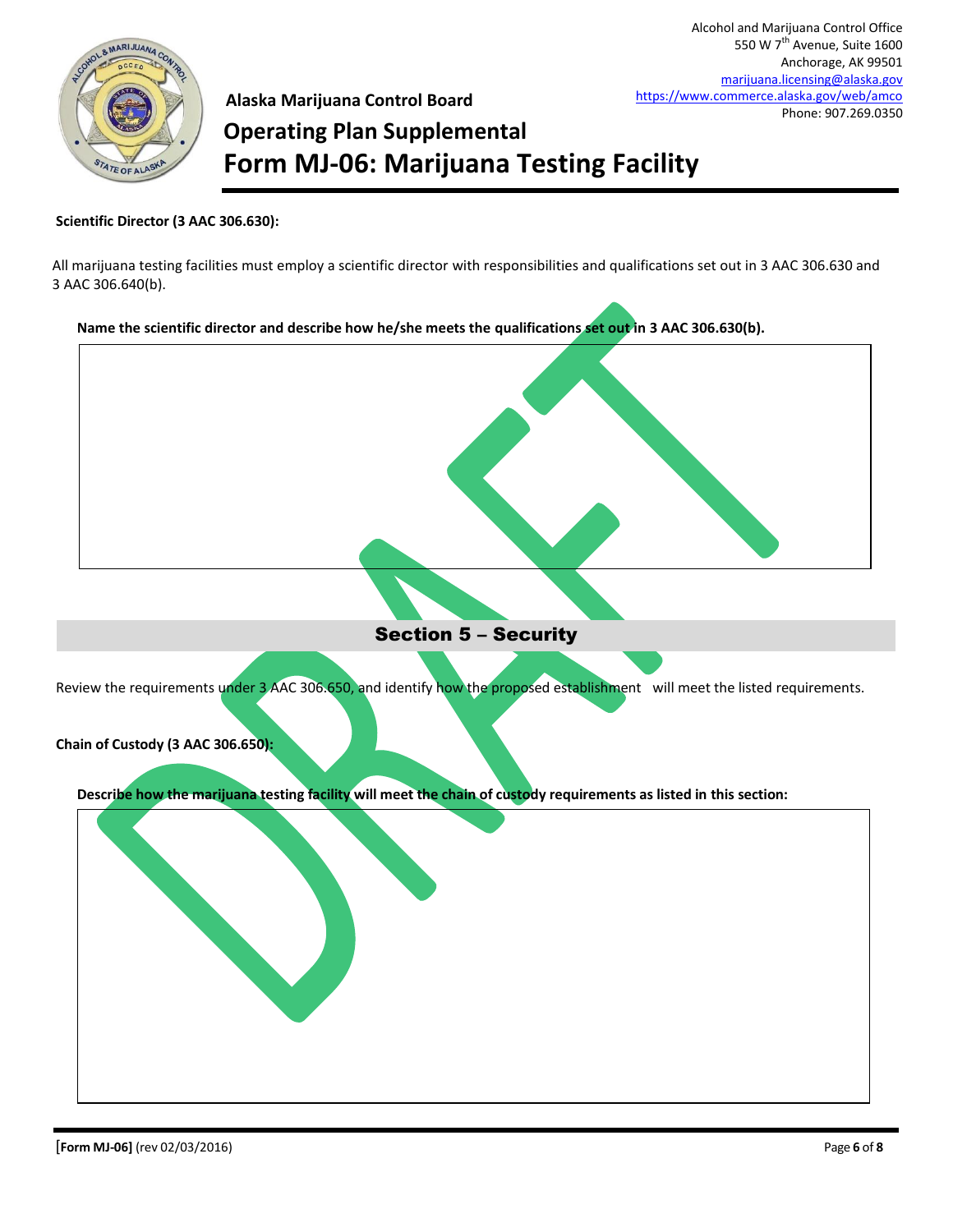

**Alaska Marijuana Control Board Operating Plan Supplemental Form MJ-06: Marijuana Testing Facility**

#### **Scientific Director (3 AAC 306.630):**

All marijuana testing facilities must employ a scientific director with responsibilities and qualifications set out in 3 AAC 306.630 and 3 AAC 306.640(b).

**Name the scientific director and describe how he/she meets the qualifications set out in 3 AAC 306.630(b).**



Section 5 – Security

Review the requirements under 3 AAC 306.650, and identify how the proposed establishment will meet the listed requirements.



**Describe how the marijuana testing facility will meet the chain of custody requirements as listed in this section:**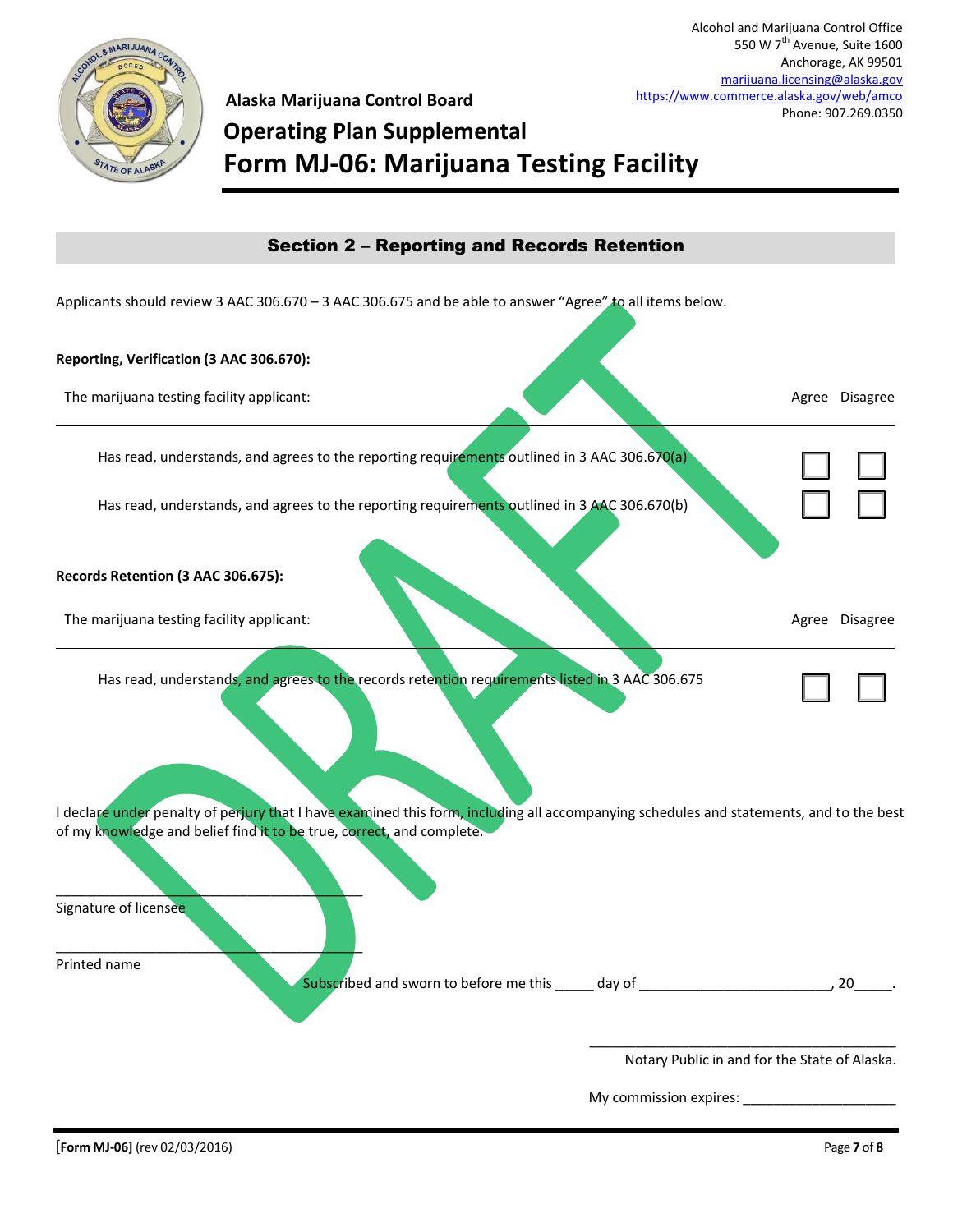

## **Alaska Marijuana Control Board Operating Plan Supplemental Form MJ-06: Marijuana Testing Facility**

| <b>Section 2 - Reporting and Records Retention</b>                                                                                                                                                               |                                               |
|------------------------------------------------------------------------------------------------------------------------------------------------------------------------------------------------------------------|-----------------------------------------------|
| Applicants should review 3 AAC 306.670 - 3 AAC 306.675 and be able to answer "Agree" to all items below.                                                                                                         |                                               |
| Reporting, Verification (3 AAC 306.670):                                                                                                                                                                         |                                               |
| The marijuana testing facility applicant:                                                                                                                                                                        | Agree Disagree                                |
| Has read, understands, and agrees to the reporting requirements outlined in 3 AAC 306.670(a)                                                                                                                     |                                               |
| Has read, understands, and agrees to the reporting requirements outlined in 3 AAC 306.670(b)                                                                                                                     |                                               |
| Records Retention (3 AAC 306.675):                                                                                                                                                                               |                                               |
| The marijuana testing facility applicant:                                                                                                                                                                        | Agree Disagree                                |
| Has read, understands, and agrees to the records retention requirements listed in 3 AAC 306.675                                                                                                                  |                                               |
| I declare under penalty of perjury that I have examined this form, including all accompanying schedules and statements, and to the best<br>of my knowledge and belief find it to be true, correct, and complete. |                                               |
| Signature of licensee                                                                                                                                                                                            |                                               |
| Printed name                                                                                                                                                                                                     |                                               |
|                                                                                                                                                                                                                  | Notary Public in and for the State of Alaska. |

My commission expires: